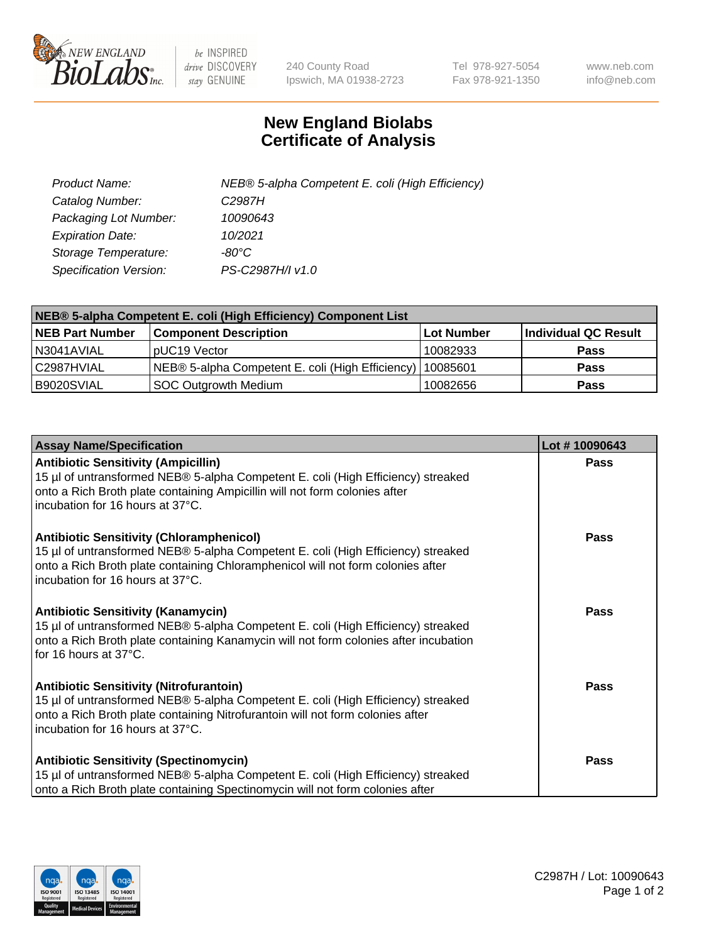

 $be$  INSPIRED drive DISCOVERY stay GENUINE

240 County Road Ipswich, MA 01938-2723 Tel 978-927-5054 Fax 978-921-1350 www.neb.com info@neb.com

## **New England Biolabs Certificate of Analysis**

| Product Name:           | NEB® 5-alpha Competent E. coli (High Efficiency) |
|-------------------------|--------------------------------------------------|
| Catalog Number:         | C <sub>2987</sub> H                              |
| Packaging Lot Number:   | 10090643                                         |
| <b>Expiration Date:</b> | 10/2021                                          |
| Storage Temperature:    | -80°C                                            |
| Specification Version:  | PS-C2987H/I v1.0                                 |

| NEB® 5-alpha Competent E. coli (High Efficiency) Component List |                                                  |            |                      |  |
|-----------------------------------------------------------------|--------------------------------------------------|------------|----------------------|--|
| <b>NEB Part Number</b>                                          | <b>Component Description</b>                     | Lot Number | Individual QC Result |  |
| N3041AVIAL                                                      | pUC19 Vector                                     | 10082933   | <b>Pass</b>          |  |
| C2987HVIAL                                                      | NEB® 5-alpha Competent E. coli (High Efficiency) | 10085601   | <b>Pass</b>          |  |
| B9020SVIAL                                                      | <b>SOC Outgrowth Medium</b>                      | 10082656   | <b>Pass</b>          |  |

| <b>Assay Name/Specification</b>                                                                                                                                                                                                                            | Lot #10090643 |
|------------------------------------------------------------------------------------------------------------------------------------------------------------------------------------------------------------------------------------------------------------|---------------|
| <b>Antibiotic Sensitivity (Ampicillin)</b><br>15 µl of untransformed NEB® 5-alpha Competent E. coli (High Efficiency) streaked<br>onto a Rich Broth plate containing Ampicillin will not form colonies after<br>incubation for 16 hours at 37°C.           | <b>Pass</b>   |
| <b>Antibiotic Sensitivity (Chloramphenicol)</b><br>15 µl of untransformed NEB® 5-alpha Competent E. coli (High Efficiency) streaked<br>onto a Rich Broth plate containing Chloramphenicol will not form colonies after<br>incubation for 16 hours at 37°C. | Pass          |
| Antibiotic Sensitivity (Kanamycin)<br>15 µl of untransformed NEB® 5-alpha Competent E. coli (High Efficiency) streaked<br>onto a Rich Broth plate containing Kanamycin will not form colonies after incubation<br>for 16 hours at 37°C.                    | Pass          |
| <b>Antibiotic Sensitivity (Nitrofurantoin)</b><br>15 µl of untransformed NEB® 5-alpha Competent E. coli (High Efficiency) streaked<br>onto a Rich Broth plate containing Nitrofurantoin will not form colonies after<br>incubation for 16 hours at 37°C.   | <b>Pass</b>   |
| <b>Antibiotic Sensitivity (Spectinomycin)</b><br>15 µl of untransformed NEB® 5-alpha Competent E. coli (High Efficiency) streaked<br>onto a Rich Broth plate containing Spectinomycin will not form colonies after                                         | Pass          |